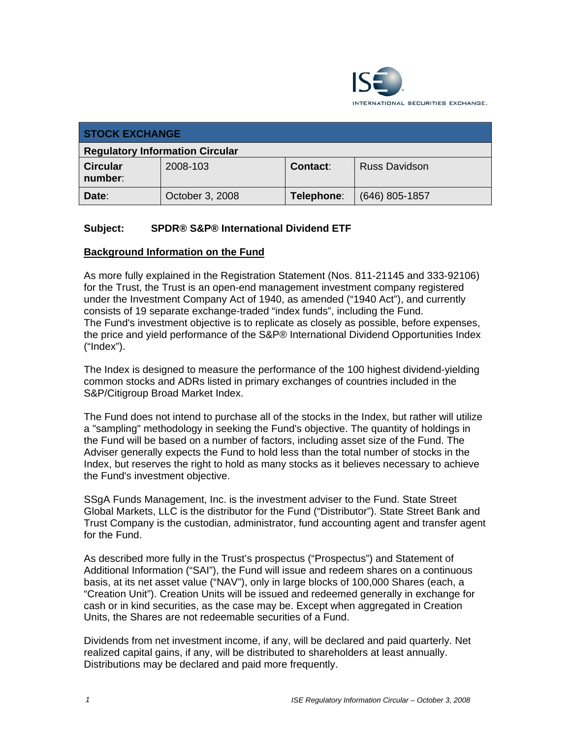

| <b>STOCK EXCHANGE</b>                  |                 |                 |                      |
|----------------------------------------|-----------------|-----------------|----------------------|
| <b>Regulatory Information Circular</b> |                 |                 |                      |
| <b>Circular</b><br>number:             | 2008-103        | <b>Contact:</b> | <b>Russ Davidson</b> |
| Date:                                  | October 3, 2008 | Telephone:      | $(646)$ 805-1857     |

## **Subject: SPDR® S&P® International Dividend ETF**

### **Background Information on the Fund**

As more fully explained in the Registration Statement (Nos. 811-21145 and 333-92106) for the Trust, the Trust is an open-end management investment company registered under the Investment Company Act of 1940, as amended ("1940 Act"), and currently consists of 19 separate exchange-traded "index funds", including the Fund. The Fund's investment objective is to replicate as closely as possible, before expenses, the price and yield performance of the S&P® International Dividend Opportunities Index ("Index").

The Index is designed to measure the performance of the 100 highest dividend-yielding common stocks and ADRs listed in primary exchanges of countries included in the S&P/Citigroup Broad Market Index.

The Fund does not intend to purchase all of the stocks in the Index, but rather will utilize a "sampling" methodology in seeking the Fund's objective. The quantity of holdings in the Fund will be based on a number of factors, including asset size of the Fund. The Adviser generally expects the Fund to hold less than the total number of stocks in the Index, but reserves the right to hold as many stocks as it believes necessary to achieve the Fund's investment objective.

SSgA Funds Management, Inc. is the investment adviser to the Fund. State Street Global Markets, LLC is the distributor for the Fund ("Distributor"). State Street Bank and Trust Company is the custodian, administrator, fund accounting agent and transfer agent for the Fund.

As described more fully in the Trust's prospectus ("Prospectus") and Statement of Additional Information ("SAI"), the Fund will issue and redeem shares on a continuous basis, at its net asset value ("NAV"), only in large blocks of 100,000 Shares (each, a "Creation Unit"). Creation Units will be issued and redeemed generally in exchange for cash or in kind securities, as the case may be. Except when aggregated in Creation Units, the Shares are not redeemable securities of a Fund.

Dividends from net investment income, if any, will be declared and paid quarterly. Net realized capital gains, if any, will be distributed to shareholders at least annually. Distributions may be declared and paid more frequently.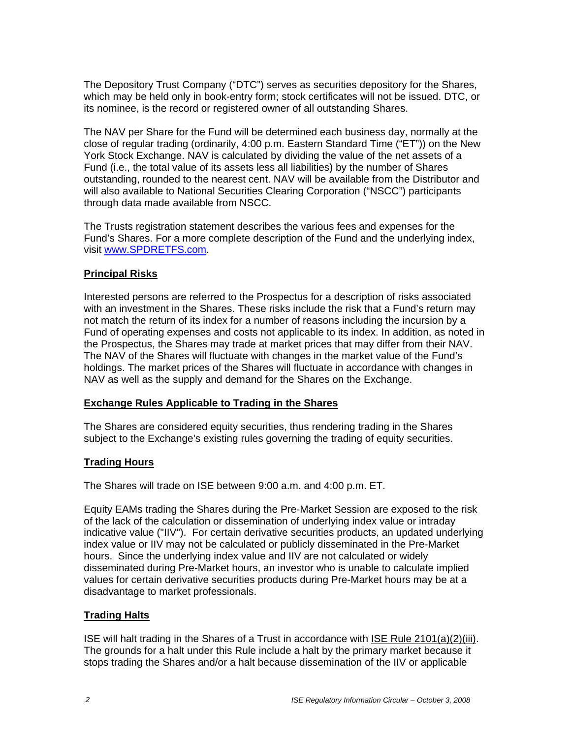The Depository Trust Company ("DTC") serves as securities depository for the Shares, which may be held only in book-entry form; stock certificates will not be issued. DTC, or its nominee, is the record or registered owner of all outstanding Shares.

The NAV per Share for the Fund will be determined each business day, normally at the close of regular trading (ordinarily, 4:00 p.m. Eastern Standard Time ("ET")) on the New York Stock Exchange. NAV is calculated by dividing the value of the net assets of a Fund (i.e., the total value of its assets less all liabilities) by the number of Shares outstanding, rounded to the nearest cent. NAV will be available from the Distributor and will also available to National Securities Clearing Corporation ("NSCC") participants through data made available from NSCC.

The Trusts registration statement describes the various fees and expenses for the Fund's Shares. For a more complete description of the Fund and the underlying index, visit www.SPDRETFS.com.

## **Principal Risks**

Interested persons are referred to the Prospectus for a description of risks associated with an investment in the Shares. These risks include the risk that a Fund's return may not match the return of its index for a number of reasons including the incursion by a Fund of operating expenses and costs not applicable to its index. In addition, as noted in the Prospectus, the Shares may trade at market prices that may differ from their NAV. The NAV of the Shares will fluctuate with changes in the market value of the Fund's holdings. The market prices of the Shares will fluctuate in accordance with changes in NAV as well as the supply and demand for the Shares on the Exchange.

#### **Exchange Rules Applicable to Trading in the Shares**

The Shares are considered equity securities, thus rendering trading in the Shares subject to the Exchange's existing rules governing the trading of equity securities.

#### **Trading Hours**

The Shares will trade on ISE between 9:00 a.m. and 4:00 p.m. ET.

Equity EAMs trading the Shares during the Pre-Market Session are exposed to the risk of the lack of the calculation or dissemination of underlying index value or intraday indicative value ("IIV"). For certain derivative securities products, an updated underlying index value or IIV may not be calculated or publicly disseminated in the Pre-Market hours. Since the underlying index value and IIV are not calculated or widely disseminated during Pre-Market hours, an investor who is unable to calculate implied values for certain derivative securities products during Pre-Market hours may be at a disadvantage to market professionals.

#### **Trading Halts**

ISE will halt trading in the Shares of a Trust in accordance with ISE Rule 2101(a)(2)(iii). The grounds for a halt under this Rule include a halt by the primary market because it stops trading the Shares and/or a halt because dissemination of the IIV or applicable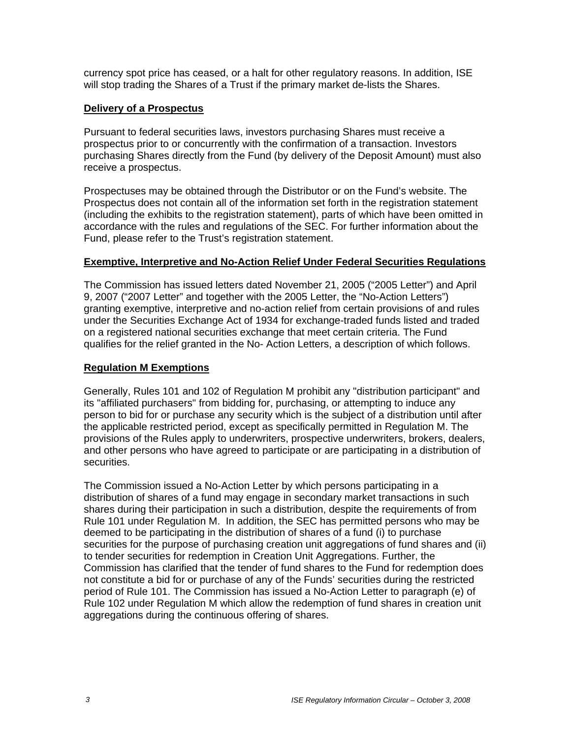currency spot price has ceased, or a halt for other regulatory reasons. In addition, ISE will stop trading the Shares of a Trust if the primary market de-lists the Shares.

## **Delivery of a Prospectus**

Pursuant to federal securities laws, investors purchasing Shares must receive a prospectus prior to or concurrently with the confirmation of a transaction. Investors purchasing Shares directly from the Fund (by delivery of the Deposit Amount) must also receive a prospectus.

Prospectuses may be obtained through the Distributor or on the Fund's website. The Prospectus does not contain all of the information set forth in the registration statement (including the exhibits to the registration statement), parts of which have been omitted in accordance with the rules and regulations of the SEC. For further information about the Fund, please refer to the Trust's registration statement.

#### **Exemptive, Interpretive and No-Action Relief Under Federal Securities Regulations**

The Commission has issued letters dated November 21, 2005 ("2005 Letter") and April 9, 2007 ("2007 Letter" and together with the 2005 Letter, the "No-Action Letters") granting exemptive, interpretive and no-action relief from certain provisions of and rules under the Securities Exchange Act of 1934 for exchange-traded funds listed and traded on a registered national securities exchange that meet certain criteria. The Fund qualifies for the relief granted in the No- Action Letters, a description of which follows.

## **Regulation M Exemptions**

Generally, Rules 101 and 102 of Regulation M prohibit any "distribution participant" and its "affiliated purchasers" from bidding for, purchasing, or attempting to induce any person to bid for or purchase any security which is the subject of a distribution until after the applicable restricted period, except as specifically permitted in Regulation M. The provisions of the Rules apply to underwriters, prospective underwriters, brokers, dealers, and other persons who have agreed to participate or are participating in a distribution of securities.

The Commission issued a No-Action Letter by which persons participating in a distribution of shares of a fund may engage in secondary market transactions in such shares during their participation in such a distribution, despite the requirements of from Rule 101 under Regulation M. In addition, the SEC has permitted persons who may be deemed to be participating in the distribution of shares of a fund (i) to purchase securities for the purpose of purchasing creation unit aggregations of fund shares and (ii) to tender securities for redemption in Creation Unit Aggregations. Further, the Commission has clarified that the tender of fund shares to the Fund for redemption does not constitute a bid for or purchase of any of the Funds' securities during the restricted period of Rule 101. The Commission has issued a No-Action Letter to paragraph (e) of Rule 102 under Regulation M which allow the redemption of fund shares in creation unit aggregations during the continuous offering of shares.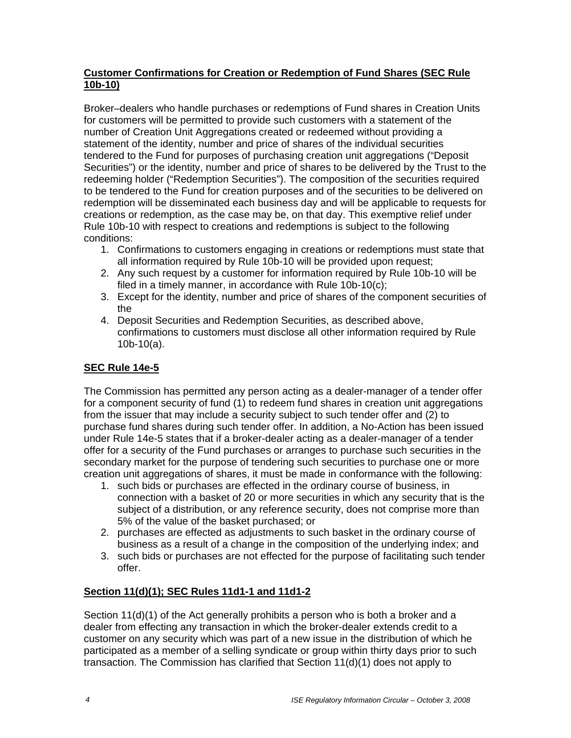## **Customer Confirmations for Creation or Redemption of Fund Shares (SEC Rule 10b-10)**

Broker–dealers who handle purchases or redemptions of Fund shares in Creation Units for customers will be permitted to provide such customers with a statement of the number of Creation Unit Aggregations created or redeemed without providing a statement of the identity, number and price of shares of the individual securities tendered to the Fund for purposes of purchasing creation unit aggregations ("Deposit Securities") or the identity, number and price of shares to be delivered by the Trust to the redeeming holder ("Redemption Securities"). The composition of the securities required to be tendered to the Fund for creation purposes and of the securities to be delivered on redemption will be disseminated each business day and will be applicable to requests for creations or redemption, as the case may be, on that day. This exemptive relief under Rule 10b-10 with respect to creations and redemptions is subject to the following conditions:

- 1. Confirmations to customers engaging in creations or redemptions must state that all information required by Rule 10b-10 will be provided upon request;
- 2. Any such request by a customer for information required by Rule 10b-10 will be filed in a timely manner, in accordance with Rule 10b-10(c);
- 3. Except for the identity, number and price of shares of the component securities of the
- 4. Deposit Securities and Redemption Securities, as described above, confirmations to customers must disclose all other information required by Rule 10b-10(a).

# **SEC Rule 14e-5**

The Commission has permitted any person acting as a dealer-manager of a tender offer for a component security of fund (1) to redeem fund shares in creation unit aggregations from the issuer that may include a security subject to such tender offer and (2) to purchase fund shares during such tender offer. In addition, a No-Action has been issued under Rule 14e-5 states that if a broker-dealer acting as a dealer-manager of a tender offer for a security of the Fund purchases or arranges to purchase such securities in the secondary market for the purpose of tendering such securities to purchase one or more creation unit aggregations of shares, it must be made in conformance with the following:

- 1. such bids or purchases are effected in the ordinary course of business, in connection with a basket of 20 or more securities in which any security that is the subject of a distribution, or any reference security, does not comprise more than 5% of the value of the basket purchased; or
- 2. purchases are effected as adjustments to such basket in the ordinary course of business as a result of a change in the composition of the underlying index; and
- 3. such bids or purchases are not effected for the purpose of facilitating such tender offer.

# **Section 11(d)(1); SEC Rules 11d1-1 and 11d1-2**

Section 11(d)(1) of the Act generally prohibits a person who is both a broker and a dealer from effecting any transaction in which the broker-dealer extends credit to a customer on any security which was part of a new issue in the distribution of which he participated as a member of a selling syndicate or group within thirty days prior to such transaction. The Commission has clarified that Section 11(d)(1) does not apply to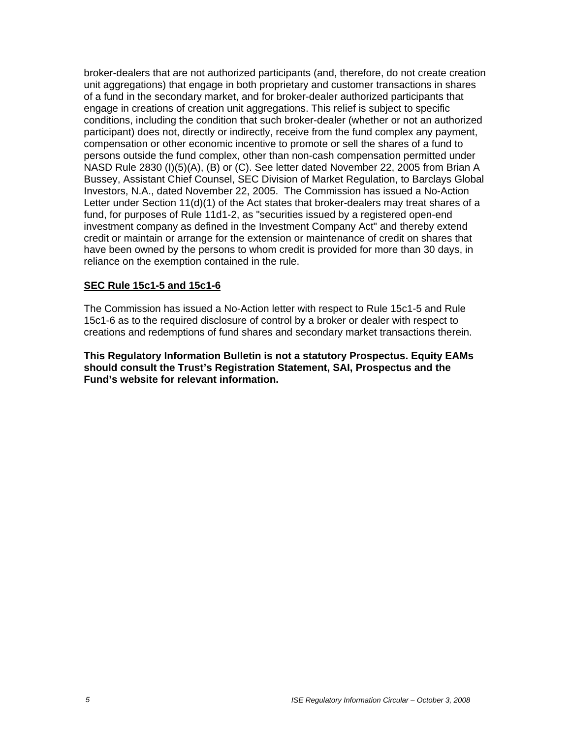broker-dealers that are not authorized participants (and, therefore, do not create creation unit aggregations) that engage in both proprietary and customer transactions in shares of a fund in the secondary market, and for broker-dealer authorized participants that engage in creations of creation unit aggregations. This relief is subject to specific conditions, including the condition that such broker-dealer (whether or not an authorized participant) does not, directly or indirectly, receive from the fund complex any payment, compensation or other economic incentive to promote or sell the shares of a fund to persons outside the fund complex, other than non-cash compensation permitted under NASD Rule 2830 (I)(5)(A), (B) or (C). See letter dated November 22, 2005 from Brian A Bussey, Assistant Chief Counsel, SEC Division of Market Regulation, to Barclays Global Investors, N.A., dated November 22, 2005. The Commission has issued a No-Action Letter under Section 11(d)(1) of the Act states that broker-dealers may treat shares of a fund, for purposes of Rule 11d1-2, as "securities issued by a registered open-end investment company as defined in the Investment Company Act" and thereby extend credit or maintain or arrange for the extension or maintenance of credit on shares that have been owned by the persons to whom credit is provided for more than 30 days, in reliance on the exemption contained in the rule.

### **SEC Rule 15c1-5 and 15c1-6**

The Commission has issued a No-Action letter with respect to Rule 15c1-5 and Rule 15c1-6 as to the required disclosure of control by a broker or dealer with respect to creations and redemptions of fund shares and secondary market transactions therein.

**This Regulatory Information Bulletin is not a statutory Prospectus. Equity EAMs should consult the Trust's Registration Statement, SAI, Prospectus and the Fund's website for relevant information.**